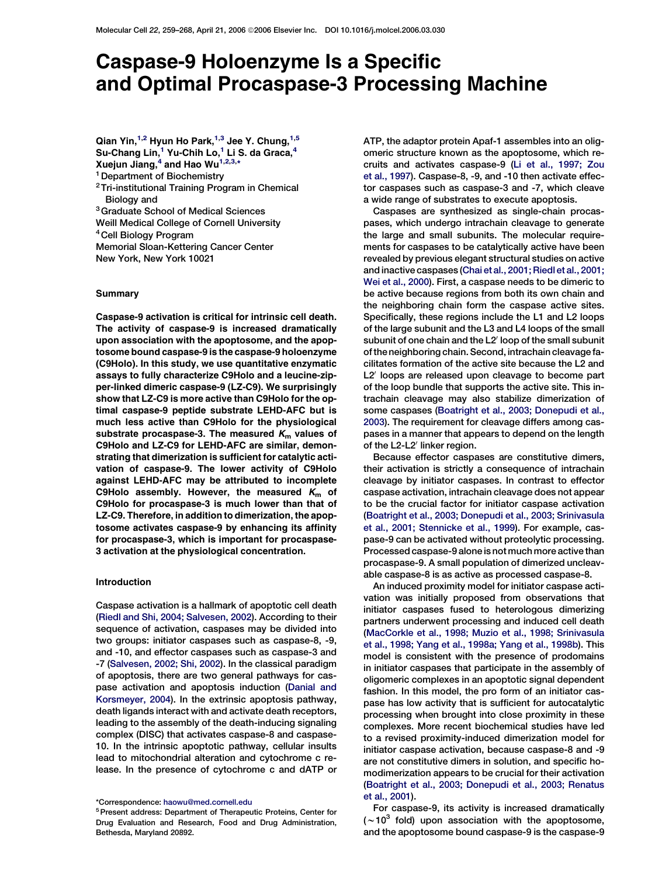# Caspase-9 Holoenzyme Is a Specific and Optimal Procaspase-3 Processing Machine

Qian Yin, $^{1,2}$  Hyun Ho Park, $^{1,3}$  Jee Y. Chung, $^{1,5}$ Su-Chang Lin, <sup>1</sup> Yu-Chih Lo, <sup>1</sup> Li S. da Graca, <sup>4</sup> Xuejun Jiang, $4$  and Hao Wu $^{1,2,3,\star}$ 

<sup>1</sup> Department of Biochemistry

2Tri-institutional Training Program in Chemical Biology and

3Graduate School of Medical Sciences

Weill Medical College of Cornell University

4Cell Biology Program

Memorial Sloan-Kettering Cancer Center New York, New York 10021

#### Summary

Caspase-9 activation is critical for intrinsic cell death. The activity of caspase-9 is increased dramatically upon association with the apoptosome, and the apoptosome bound caspase-9 is the caspase-9 holoenzyme (C9Holo). In this study, we use quantitative enzymatic assays to fully characterize C9Holo and a leucine-zipper-linked dimeric caspase-9 (LZ-C9). We surprisingly show that LZ-C9 is more active than C9Holo for the optimal caspase-9 peptide substrate LEHD-AFC but is much less active than C9Holo for the physiological substrate procaspase-3. The measured  $K<sub>m</sub>$  values of C9Holo and LZ-C9 for LEHD-AFC are similar, demonstrating that dimerization is sufficient for catalytic activation of caspase-9. The lower activity of C9Holo against LEHD-AFC may be attributed to incomplete C9Holo assembly. However, the measured  $K<sub>m</sub>$  of C9Holo for procaspase-3 is much lower than that of LZ-C9. Therefore, in addition to dimerization, the apoptosome activates caspase-9 by enhancing its affinity for procaspase-3, which is important for procaspase-3 activation at the physiological concentration.

## Introduction

Caspase activation is a hallmark of apoptotic cell death [\(Riedl and Shi, 2004; Salvesen, 2002\)](#page-9-0). According to their sequence of activation, caspases may be divided into two groups: initiator caspases such as caspase-8, -9, and -10, and effector caspases such as caspase-3 and -7 [\(Salvesen, 2002; Shi, 2002\)](#page-9-0). In the classical paradigm of apoptosis, there are two general pathways for caspase activation and apoptosis induction [\(Danial and](#page-9-0) [Korsmeyer, 2004\)](#page-9-0). In the extrinsic apoptosis pathway, death ligands interact with and activate death receptors, leading to the assembly of the death-inducing signaling complex (DISC) that activates caspase-8 and caspase-10. In the intrinsic apoptotic pathway, cellular insults lead to mitochondrial alteration and cytochrome c release. In the presence of cytochrome c and dATP or

ATP, the adaptor protein Apaf-1 assembles into an oligomeric structure known as the apoptosome, which recruits and activates caspase-9 ([Li et al., 1997; Zou](#page-9-0) [et al., 1997\)](#page-9-0). Caspase-8, -9, and -10 then activate effector caspases such as caspase-3 and -7, which cleave a wide range of substrates to execute apoptosis.

Caspases are synthesized as single-chain procaspases, which undergo intrachain cleavage to generate the large and small subunits. The molecular requirements for caspases to be catalytically active have been revealed by previous elegant structural studies on active and inactive caspases [\(Chai et al., 2001; Riedl et al., 2001;](#page-9-0) [Wei et al., 2000](#page-9-0)). First, a caspase needs to be dimeric to be active because regions from both its own chain and the neighboring chain form the caspase active sites. Specifically, these regions include the L1 and L2 loops of the large subunit and the L3 and L4 loops of the small subunit of one chain and the L2' loop of the small subunit of the neighboring chain. Second, intrachain cleavage facilitates formation of the active site because the L2 and L2' loops are released upon cleavage to become part of the loop bundle that supports the active site. This intrachain cleavage may also stabilize dimerization of some caspases [\(Boatright et al., 2003; Donepudi et al.,](#page-9-0) [2003\)](#page-9-0). The requirement for cleavage differs among caspases in a manner that appears to depend on the length of the L2-L2' linker region.

Because effector caspases are constitutive dimers, their activation is strictly a consequence of intrachain cleavage by initiator caspases. In contrast to effector caspase activation, intrachain cleavage does not appear to be the crucial factor for initiator caspase activation [\(Boatright et al., 2003; Donepudi et al., 2003; Srinivasula](#page-9-0) [et al., 2001; Stennicke et al., 1999](#page-9-0)). For example, caspase-9 can be activated without proteolytic processing. Processed caspase-9 alone is not much more active than procaspase-9. A small population of dimerized uncleavable caspase-8 is as active as processed caspase-8.

An induced proximity model for initiator caspase activation was initially proposed from observations that initiator caspases fused to heterologous dimerizing partners underwent processing and induced cell death [\(MacCorkle et al., 1998; Muzio et al., 1998; Srinivasula](#page-9-0) [et al., 1998; Yang et al., 1998a; Yang et al., 1998b](#page-9-0)). This model is consistent with the presence of prodomains in initiator caspases that participate in the assembly of oligomeric complexes in an apoptotic signal dependent fashion. In this model, the pro form of an initiator caspase has low activity that is sufficient for autocatalytic processing when brought into close proximity in these complexes. More recent biochemical studies have led to a revised proximity-induced dimerization model for initiator caspase activation, because caspase-8 and -9 are not constitutive dimers in solution, and specific homodimerization appears to be crucial for their activation [\(Boatright et al., 2003; Donepudi et al., 2003; Renatus](#page-9-0) [et al., 2001](#page-9-0)).

For caspase-9, its activity is increased dramatically  $(\sim 10^3$  fold) upon association with the apoptosome, and the apoptosome bound caspase-9 is the caspase-9

<sup>\*</sup>Correspondence: [haowu@med.cornell.edu](mailto:haowu@med.cornell.edu)

<sup>5</sup>Present address: Department of Therapeutic Proteins, Center for Drug Evaluation and Research, Food and Drug Administration, Bethesda, Maryland 20892.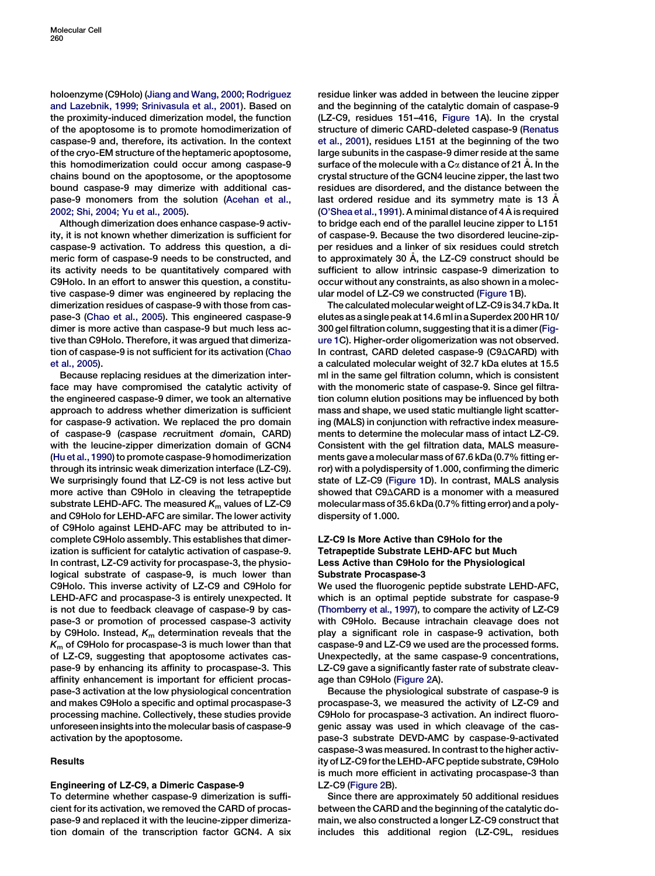holoenzyme (C9Holo) ([Jiang and Wang, 2000; Rodriguez](#page-9-0) [and Lazebnik, 1999; Srinivasula et al., 2001](#page-9-0)). Based on the proximity-induced dimerization model, the function of the apoptosome is to promote homodimerization of caspase-9 and, therefore, its activation. In the context of the cryo-EM structure of the heptameric apoptosome, this homodimerization could occur among caspase-9 chains bound on the apoptosome, or the apoptosome bound caspase-9 may dimerize with additional caspase-9 monomers from the solution [\(Acehan et al.,](#page-9-0) [2002; Shi, 2004; Yu et al., 2005](#page-9-0)).

Although dimerization does enhance caspase-9 activity, it is not known whether dimerization is sufficient for caspase-9 activation. To address this question, a dimeric form of caspase-9 needs to be constructed, and its activity needs to be quantitatively compared with C9Holo. In an effort to answer this question, a constitutive caspase-9 dimer was engineered by replacing the dimerization residues of caspase-9 with those from caspase-3 [\(Chao et al., 2005](#page-9-0)). This engineered caspase-9 dimer is more active than caspase-9 but much less active than C9Holo. Therefore, it was argued that dimerization of caspase-9 is not sufficient for its activation ([Chao](#page-9-0) [et al., 2005](#page-9-0)).

Because replacing residues at the dimerization interface may have compromised the catalytic activity of the engineered caspase-9 dimer, we took an alternative approach to address whether dimerization is sufficient for caspase-9 activation. We replaced the pro domain of caspase-9 (caspase recruitment domain, CARD) with the leucine-zipper dimerization domain of GCN4 [\(Hu et al., 1990](#page-9-0)) to promote caspase-9 homodimerization through its intrinsic weak dimerization interface (LZ-C9). We surprisingly found that LZ-C9 is not less active but more active than C9Holo in cleaving the tetrapeptide substrate LEHD-AFC. The measured  $K<sub>m</sub>$  values of LZ-C9 and C9Holo for LEHD-AFC are similar. The lower activity of C9Holo against LEHD-AFC may be attributed to incomplete C9Holo assembly. This establishes that dimerization is sufficient for catalytic activation of caspase-9. In contrast, LZ-C9 activity for procaspase-3, the physiological substrate of caspase-9, is much lower than C9Holo. This inverse activity of LZ-C9 and C9Holo for LEHD-AFC and procaspase-3 is entirely unexpected. It is not due to feedback cleavage of caspase-9 by caspase-3 or promotion of processed caspase-3 activity by C9Holo. Instead,  $K<sub>m</sub>$  determination reveals that the  $K<sub>m</sub>$  of C9Holo for procaspase-3 is much lower than that of LZ-C9, suggesting that apoptosome activates caspase-9 by enhancing its affinity to procaspase-3. This affinity enhancement is important for efficient procaspase-3 activation at the low physiological concentration and makes C9Holo a specific and optimal procaspase-3 processing machine. Collectively, these studies provide unforeseen insights into the molecular basis of caspase-9 activation by the apoptosome.

## Results

# Engineering of LZ-C9, a Dimeric Caspase-9

To determine whether caspase-9 dimerization is sufficient for its activation, we removed the CARD of procaspase-9 and replaced it with the leucine-zipper dimerization domain of the transcription factor GCN4. A six

residue linker was added in between the leucine zipper and the beginning of the catalytic domain of caspase-9 (LZ-C9, residues 151–416, [Figure 1](#page-2-0)A). In the crystal structure of dimeric CARD-deleted caspase-9 ([Renatus](#page-9-0) [et al., 2001](#page-9-0)), residues L151 at the beginning of the two large subunits in the caspase-9 dimer reside at the same surface of the molecule with a  $C\alpha$  distance of 21 Å. In the crystal structure of the GCN4 leucine zipper, the last two residues are disordered, and the distance between the last ordered residue and its symmetry mate is 13 A [\(O'Shea et al., 1991\)](#page-9-0). A minimal distance of 4  $\AA$  is required to bridge each end of the parallel leucine zipper to L151 of caspase-9. Because the two disordered leucine-zipper residues and a linker of six residues could stretch to approximately 30 Å, the LZ-C9 construct should be sufficient to allow intrinsic caspase-9 dimerization to occur without any constraints, as also shown in a molecular model of LZ-C9 we constructed [\(Figure 1B](#page-2-0)).

The calculated molecularweight of LZ-C9 is 34.7 kDa.It elutesas a singlepeakat14.6ml ina Superdex 200HR 10/ 300 gel filtration column, suggesting that it is a dimer [\(Fig](#page-2-0)[ure 1](#page-2-0)C). Higher-order oligomerization was not observed. In contrast, CARD deleted caspase-9 (C9 $\triangle$ CARD) with a calculated molecular weight of 32.7 kDa elutes at 15.5 ml in the same gel filtration column, which is consistent with the monomeric state of caspase-9. Since gel filtration column elution positions may be influenced by both mass and shape, we used static multiangle light scattering (MALS) in conjunction with refractive index measurements to determine the molecular mass of intact LZ-C9. Consistent with the gel filtration data, MALS measurements gave a molecular mass of 67.6 kDa (0.7% fitting error) with a polydispersity of 1.000, confirming the dimeric state of LZ-C9 [\(Figure 1](#page-2-0)D). In contrast, MALS analysis showed that  $C9\triangle CARD$  is a monomer with a measured molecular mass of 35.6 kDa (0.7% fitting error) and a polydispersity of 1.000.

# LZ-C9 Is More Active than C9Holo for the Tetrapeptide Substrate LEHD-AFC but Much Less Active than C9Holo for the Physiological Substrate Procaspase-3

We used the fluorogenic peptide substrate LEHD-AFC, which is an optimal peptide substrate for caspase-9 [\(Thornberry et al., 1997\)](#page-9-0), to compare the activity of LZ-C9 with C9Holo. Because intrachain cleavage does not play a significant role in caspase-9 activation, both caspase-9 and LZ-C9 we used are the processed forms. Unexpectedly, at the same caspase-9 concentrations, LZ-C9 gave a significantly faster rate of substrate cleavage than C9Holo [\(Figure 2A](#page-3-0)).

Because the physiological substrate of caspase-9 is procaspase-3, we measured the activity of LZ-C9 and C9Holo for procaspase-3 activation. An indirect fluorogenic assay was used in which cleavage of the caspase-3 substrate DEVD-AMC by caspase-9-activated caspase-3 was measured. In contrast to the higher activity of LZ-C9 for the LEHD-AFC peptide substrate, C9Holo is much more efficient in activating procaspase-3 than LZ-C9 ([Figure 2](#page-3-0)B).

Since there are approximately 50 additional residues between the CARD and the beginning of the catalytic domain, we also constructed a longer LZ-C9 construct that includes this additional region (LZ-C9L, residues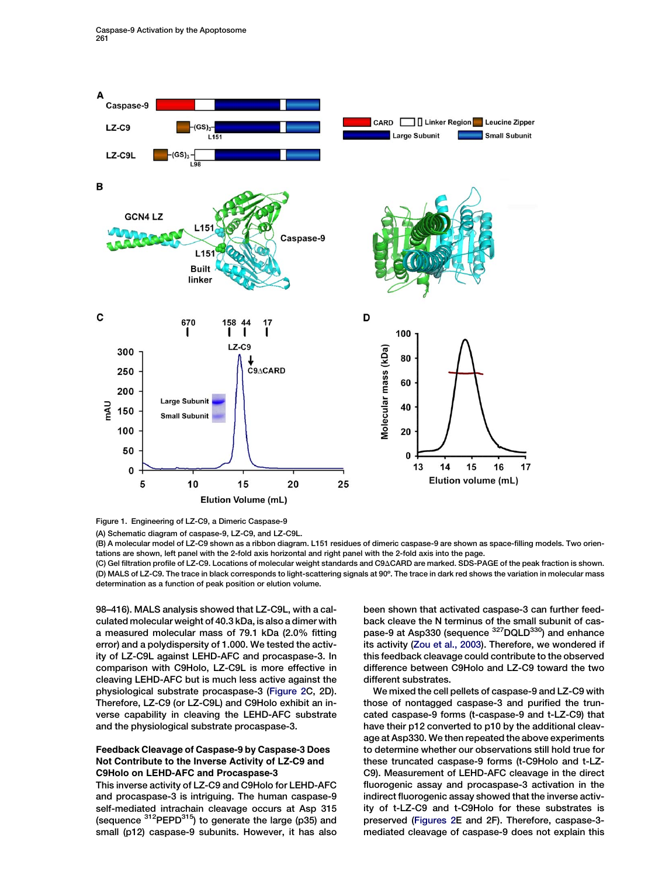<span id="page-2-0"></span>

Figure 1. Engineering of LZ-C9, a Dimeric Caspase-9

(A) Schematic diagram of caspase-9, LZ-C9, and LZ-C9L.

(B) A molecular model of LZ-C9 shown as a ribbon diagram. L151 residues of dimeric caspase-9 are shown as space-filling models. Two orientations are shown, left panel with the 2-fold axis horizontal and right panel with the 2-fold axis into the page.

(C) Gel filtration profile of LZ-C9. Locations of molecular weight standards and C9ACARD are marked. SDS-PAGE of the peak fraction is shown. (D) MALS of LZ-C9. The trace in black corresponds to light-scattering signals at 90º. The trace in dark red shows the variation in molecular mass determination as a function of peak position or elution volume.

98–416). MALS analysis showed that LZ-C9L, with a calculated molecular weight of 40.3 kDa, is also a dimer with a measured molecular mass of 79.1 kDa (2.0% fitting error) and a polydispersity of 1.000. We tested the activity of LZ-C9L against LEHD-AFC and procaspase-3. In comparison with C9Holo, LZ-C9L is more effective in cleaving LEHD-AFC but is much less active against the physiological substrate procaspase-3 ([Figure 2](#page-3-0)C, 2D). Therefore, LZ-C9 (or LZ-C9L) and C9Holo exhibit an inverse capability in cleaving the LEHD-AFC substrate and the physiological substrate procaspase-3.

# Feedback Cleavage of Caspase-9 by Caspase-3 Does Not Contribute to the Inverse Activity of LZ-C9 and C9Holo on LEHD-AFC and Procaspase-3

This inverse activity of LZ-C9 and C9Holo for LEHD-AFC and procaspase-3 is intriguing. The human caspase-9 self-mediated intrachain cleavage occurs at Asp 315 (sequence  $312$ PEPD $315$ ) to generate the large (p35) and small (p12) caspase-9 subunits. However, it has also been shown that activated caspase-3 can further feedback cleave the N terminus of the small subunit of caspase-9 at Asp330 (sequence <sup>327</sup>DQLD<sup>330</sup>) and enhance its activity [\(Zou et al., 2003\)](#page-9-0). Therefore, we wondered if this feedback cleavage could contribute to the observed difference between C9Holo and LZ-C9 toward the two different substrates.

We mixed the cell pellets of caspase-9 and LZ-C9 with those of nontagged caspase-3 and purified the truncated caspase-9 forms (t-caspase-9 and t-LZ-C9) that have their p12 converted to p10 by the additional cleavage at Asp330. We then repeated the above experiments to determine whether our observations still hold true for these truncated caspase-9 forms (t-C9Holo and t-LZ-C9). Measurement of LEHD-AFC cleavage in the direct fluorogenic assay and procaspase-3 activation in the indirect fluorogenic assay showed that the inverse activity of t-LZ-C9 and t-C9Holo for these substrates is preserved [\(Figures 2](#page-3-0)E and 2F). Therefore, caspase-3 mediated cleavage of caspase-9 does not explain this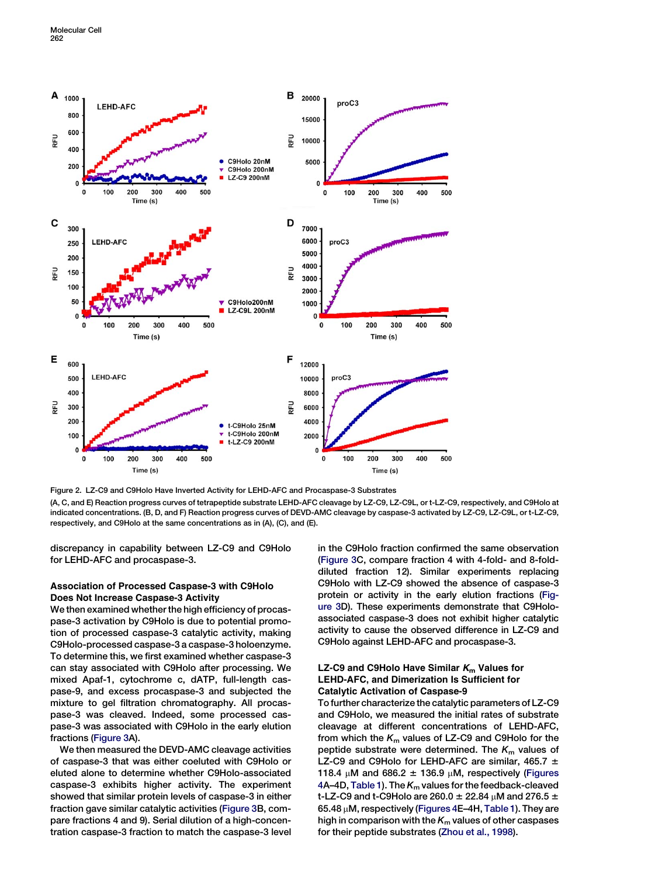<span id="page-3-0"></span>

Figure 2. LZ-C9 and C9Holo Have Inverted Activity for LEHD-AFC and Procaspase-3 Substrates

(A, C, and E) Reaction progress curves of tetrapeptide substrate LEHD-AFC cleavage by LZ-C9, LZ-C9L, or t-LZ-C9, respectively, and C9Holo at indicated concentrations. (B, D, and F) Reaction progress curves of DEVD-AMC cleavage by caspase-3 activated by LZ-C9, LZ-C9L, or t-LZ-C9, respectively, and C9Holo at the same concentrations as in (A), (C), and (E).

discrepancy in capability between LZ-C9 and C9Holo for LEHD-AFC and procaspase-3.

## Association of Processed Caspase-3 with C9Holo Does Not Increase Caspase-3 Activity

We then examined whether the high efficiency of procaspase-3 activation by C9Holo is due to potential promotion of processed caspase-3 catalytic activity, making C9Holo-processed caspase-3 a caspase-3 holoenzyme. To determine this, we first examined whether caspase-3 can stay associated with C9Holo after processing. We mixed Apaf-1, cytochrome c, dATP, full-length caspase-9, and excess procaspase-3 and subjected the mixture to gel filtration chromatography. All procaspase-3 was cleaved. Indeed, some processed caspase-3 was associated with C9Holo in the early elution fractions ([Figure 3](#page-4-0)A).

We then measured the DEVD-AMC cleavage activities of caspase-3 that was either coeluted with C9Holo or eluted alone to determine whether C9Holo-associated caspase-3 exhibits higher activity. The experiment showed that similar protein levels of caspase-3 in either fraction gave similar catalytic activities [\(Figure 3B](#page-4-0), compare fractions 4 and 9). Serial dilution of a high-concentration caspase-3 fraction to match the caspase-3 level in the C9Holo fraction confirmed the same observation [\(Figure 3C](#page-4-0), compare fraction 4 with 4-fold- and 8-folddiluted fraction 12). Similar experiments replacing C9Holo with LZ-C9 showed the absence of caspase-3 protein or activity in the early elution fractions [\(Fig](#page-4-0)[ure 3D](#page-4-0)). These experiments demonstrate that C9Holoassociated caspase-3 does not exhibit higher catalytic activity to cause the observed difference in LZ-C9 and C9Holo against LEHD-AFC and procaspase-3.

# LZ-C9 and C9Holo Have Similar  $K<sub>m</sub>$  Values for LEHD-AFC, and Dimerization Is Sufficient for Catalytic Activation of Caspase-9

To further characterize the catalytic parameters of LZ-C9 and C9Holo, we measured the initial rates of substrate cleavage at different concentrations of LEHD-AFC, from which the  $K<sub>m</sub>$  values of LZ-C9 and C9Holo for the peptide substrate were determined. The  $K<sub>m</sub>$  values of LZ-C9 and C9Holo for LEHD-AFC are similar, 465.7  $\pm$ 118.4  $\mu$ M and 686.2  $\pm$  136.9  $\mu$ M, respectively [\(Figures](#page-5-0) [4A](#page-5-0)–4D, [Table 1](#page-6-0)). The  $K<sub>m</sub>$  values for the feedback-cleaved t-LZ-C9 and t-C9Holo are 260.0  $\pm$  22.84  $\mu$ M and 276.5  $\pm$ 65.48  $\mu$ M, respectively [\(Figures 4E](#page-5-0)-4H, [Table 1](#page-6-0)). They are high in comparison with the  $K<sub>m</sub>$  values of other caspases for their peptide substrates [\(Zhou et al., 1998](#page-9-0)).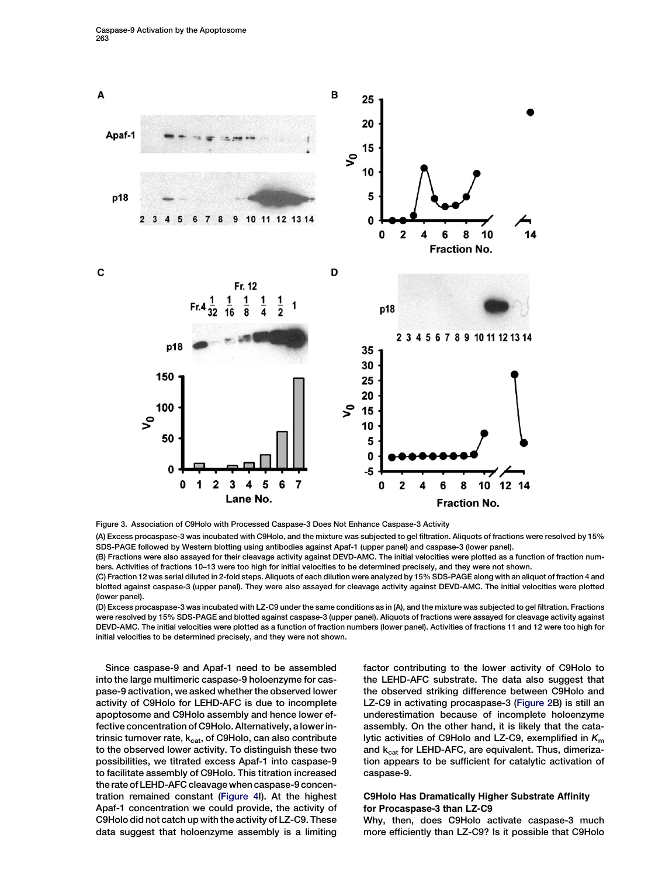<span id="page-4-0"></span>

Figure 3. Association of C9Holo with Processed Caspase-3 Does Not Enhance Caspase-3 Activity

(A) Excess procaspase-3 was incubated with C9Holo, and the mixture was subjected to gel filtration. Aliquots of fractions were resolved by 15% SDS-PAGE followed by Western blotting using antibodies against Apaf-1 (upper panel) and caspase-3 (lower panel).

(B) Fractions were also assayed for their cleavage activity against DEVD-AMC. The initial velocities were plotted as a function of fraction numbers. Activities of fractions 10–13 were too high for initial velocities to be determined precisely, and they were not shown.

(C) Fraction 12 was serial diluted in 2-fold steps. Aliquots of each dilution were analyzed by 15% SDS-PAGE along with an aliquot of fraction 4 and blotted against caspase-3 (upper panel). They were also assayed for cleavage activity against DEVD-AMC. The initial velocities were plotted (lower panel).

(D) Excess procaspase-3 was incubated with LZ-C9 under the same conditions as in (A), and the mixture was subjected to gel filtration. Fractions were resolved by 15% SDS-PAGE and blotted against caspase-3 (upper panel). Aliquots of fractions were assayed for cleavage activity against DEVD-AMC. The initial velocities were plotted as a function of fraction numbers (lower panel). Activities of fractions 11 and 12 were too high for initial velocities to be determined precisely, and they were not shown.

Since caspase-9 and Apaf-1 need to be assembled into the large multimeric caspase-9 holoenzyme for caspase-9 activation, we asked whether the observed lower activity of C9Holo for LEHD-AFC is due to incomplete apoptosome and C9Holo assembly and hence lower effective concentration of C9Holo. Alternatively, a lower intrinsic turnover rate, k<sub>cat</sub>, of C9Holo, can also contribute to the observed lower activity. To distinguish these two possibilities, we titrated excess Apaf-1 into caspase-9 to facilitate assembly of C9Holo. This titration increased the rate of LEHD-AFC cleavage when caspase-9 concentration remained constant [\(Figure 4I](#page-5-0)). At the highest Apaf-1 concentration we could provide, the activity of C9Holo did not catch up with the activity of LZ-C9. These data suggest that holoenzyme assembly is a limiting factor contributing to the lower activity of C9Holo to the LEHD-AFC substrate. The data also suggest that the observed striking difference between C9Holo and LZ-C9 in activating procaspase-3 ([Figure 2B](#page-3-0)) is still an underestimation because of incomplete holoenzyme assembly. On the other hand, it is likely that the catalytic activities of C9Holo and LZ-C9, exemplified in  $K<sub>m</sub>$ and  $k_{cat}$  for LEHD-AFC, are equivalent. Thus, dimerization appears to be sufficient for catalytic activation of caspase-9.

# C9Holo Has Dramatically Higher Substrate Affinity for Procaspase-3 than LZ-C9

Why, then, does C9Holo activate caspase-3 much more efficiently than LZ-C9? Is it possible that C9Holo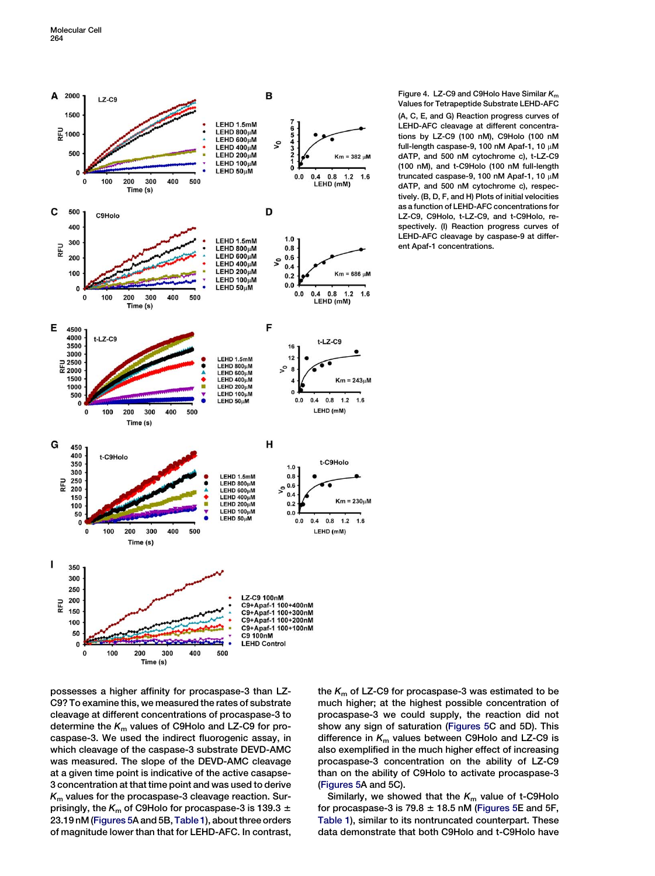<span id="page-5-0"></span>

Figure 4. LZ-C9 and C9Holo Have Similar  $K<sub>m</sub>$ Values for Tetrapeptide Substrate LEHD-AFC (A, C, E, and G) Reaction progress curves of LEHD-AFC cleavage at different concentrations by LZ-C9 (100 nM), C9Holo (100 nM full-length caspase-9, 100 nM Apaf-1, 10  $\mu$ M dATP, and 500 nM cytochrome c), t-LZ-C9 (100 nM), and t-C9Holo (100 nM full-length truncated caspase-9, 100 nM Apaf-1, 10  $\mu$ M dATP, and 500 nM cytochrome c), respectively. (B, D, F, and H) Plots of initial velocities as a function of LEHD-AFC concentrations for LZ-C9, C9Holo, t-LZ-C9, and t-C9Holo, respectively. (I) Reaction progress curves of LEHD-AFC cleavage by caspase-9 at different Apaf-1 concentrations.

possesses a higher affinity for procaspase-3 than LZ-C9? To examine this, we measured the rates of substrate cleavage at different concentrations of procaspase-3 to determine the  $K<sub>m</sub>$  values of C9Holo and LZ-C9 for procaspase-3. We used the indirect fluorogenic assay, in which cleavage of the caspase-3 substrate DEVD-AMC was measured. The slope of the DEVD-AMC cleavage at a given time point is indicative of the active casapse-3 concentration at that time point and was used to derive  $K<sub>m</sub>$  values for the procaspase-3 cleavage reaction. Surprisingly, the  $K<sub>m</sub>$  of C9Holo for procaspase-3 is 139.3  $\pm$ 23.19 nM [\(Figures 5](#page-7-0)A and 5B, [Table 1\)](#page-6-0), about three orders of magnitude lower than that for LEHD-AFC. In contrast, the  $K<sub>m</sub>$  of LZ-C9 for procaspase-3 was estimated to be much higher; at the highest possible concentration of procaspase-3 we could supply, the reaction did not show any sign of saturation [\(Figures 5](#page-7-0)C and 5D). This difference in  $K<sub>m</sub>$  values between C9Holo and LZ-C9 is also exemplified in the much higher effect of increasing procaspase-3 concentration on the ability of LZ-C9 than on the ability of C9Holo to activate procaspase-3 [\(Figures 5](#page-7-0)A and 5C).

Similarly, we showed that the  $K<sub>m</sub>$  value of t-C9Holo for procaspase-3 is  $79.8 \pm 18.5$  nM [\(Figures 5](#page-7-0)E and 5F, [Table 1\)](#page-6-0), similar to its nontruncated counterpart. These data demonstrate that both C9Holo and t-C9Holo have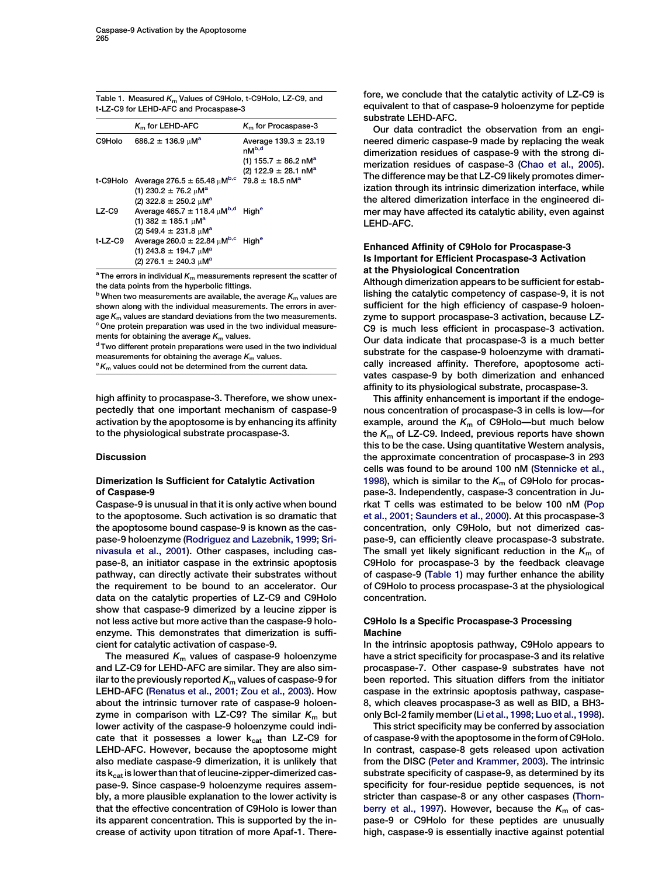<span id="page-6-0"></span>

| Table 1. Measured K <sub>m</sub> Values of C9Holo, t-C9Holo, LZ-C9, and |
|-------------------------------------------------------------------------|
| t-LZ-C9 for LEHD-AFC and Procaspase-3                                   |

|          | $Km$ for LEHD-AFC                                | $Km$ for Procaspase-3                   |
|----------|--------------------------------------------------|-----------------------------------------|
| C9Holo   | $686.2 \pm 136.9 \,\mu\text{M}^{\text{a}}$       | Average $139.3 \pm 23.19$<br>$nM^{b,d}$ |
|          |                                                  | (1) 155.7 $\pm$ 86.2 nM <sup>a</sup>    |
|          |                                                  | (2) 122.9 $\pm$ 28.1 nM <sup>a</sup>    |
| t-C9Holo | Average 276.5 $\pm$ 65.48 $\mu$ M <sup>b,c</sup> | $79.8 \pm 18.5$ nM <sup>a</sup>         |
|          | (1) 230.2 $\pm$ 76.2 $\mu$ M <sup>a</sup>        |                                         |
|          | (2) 322.8 $\pm$ 250.2 $\mu$ M <sup>a</sup>       |                                         |
| $LZ$ -C9 | Average 465.7 $\pm$ 118.4 $\mu$ M <sup>b,d</sup> | Hiah <sup>e</sup>                       |
|          | (1) 382 $\pm$ 185.1 $\mu$ M <sup>a</sup>         |                                         |
|          | (2) 549.4 $\pm$ 231.8 $\mu$ M <sup>a</sup>       |                                         |
| t-LZ-C9  | Average 260.0 $\pm$ 22.84 $\mu$ M <sup>b,c</sup> | High <sup>e</sup>                       |
|          | (1) 243.8 $\pm$ 194.7 $\mu$ M <sup>a</sup>       |                                         |
|          | $(2)$ 276.1 $\pm$ 240.3 $\mu$ M <sup>a</sup>     |                                         |

<sup>a</sup> The errors in individual  $K<sub>m</sub>$  measurements represent the scatter of the data points from the hyperbolic fittings.

 $^{\rm b}$  When two measurements are available, the average  $K_{\rm m}$  values are shown along with the individual measurements. The errors in average  $K_m$  values are standard deviations from the two measurements.<br>
<sup>c</sup> One protein preparation was used in the two individual measure-<br>ments for obtaining the average  $K_m$  values.

<sup>d</sup> Two different protein preparations were used in the two individual measurements for obtaining the average  $K_m$  values.<br><sup>e</sup>  $K_m$  values could not be determined from the current data.

high affinity to procaspase-3. Therefore, we show unexpectedly that one important mechanism of caspase-9 activation by the apoptosome is by enhancing its affinity to the physiological substrate procaspase-3.

## Discussion

# Dimerization Is Sufficient for Catalytic Activation of Caspase-9

Caspase-9 is unusual in that it is only active when bound to the apoptosome. Such activation is so dramatic that the apoptosome bound caspase-9 is known as the caspase-9 holoenzyme [\(Rodriguez and Lazebnik, 1999; Sri](#page-9-0)[nivasula et al., 2001\)](#page-9-0). Other caspases, including caspase-8, an initiator caspase in the extrinsic apoptosis pathway, can directly activate their substrates without the requirement to be bound to an accelerator. Our data on the catalytic properties of LZ-C9 and C9Holo show that caspase-9 dimerized by a leucine zipper is not less active but more active than the caspase-9 holoenzyme. This demonstrates that dimerization is sufficient for catalytic activation of caspase-9.

The measured  $K<sub>m</sub>$  values of caspase-9 holoenzyme and LZ-C9 for LEHD-AFC are similar. They are also similar to the previously reported  $K<sub>m</sub>$  values of caspase-9 for LEHD-AFC ([Renatus et al., 2001; Zou et al., 2003\)](#page-9-0). How about the intrinsic turnover rate of caspase-9 holoenzyme in comparison with LZ-C9? The similar  $K<sub>m</sub>$  but lower activity of the caspase-9 holoenzyme could indicate that it possesses a lower  $k_{cat}$  than LZ-C9 for LEHD-AFC. However, because the apoptosome might also mediate caspase-9 dimerization, it is unlikely that its  $k_{cat}$  is lower than that of leucine-zipper-dimerized caspase-9. Since caspase-9 holoenzyme requires assembly, a more plausible explanation to the lower activity is that the effective concentration of C9Holo is lower than its apparent concentration. This is supported by the increase of activity upon titration of more Apaf-1. Therefore, we conclude that the catalytic activity of LZ-C9 is equivalent to that of caspase-9 holoenzyme for peptide substrate LEHD-AFC.

Our data contradict the observation from an engineered dimeric caspase-9 made by replacing the weak dimerization residues of caspase-9 with the strong dimerization residues of caspase-3 [\(Chao et al., 2005](#page-9-0)). The difference may be that LZ-C9 likely promotes dimerization through its intrinsic dimerization interface, while the altered dimerization interface in the engineered dimer may have affected its catalytic ability, even against LEHD-AFC.

# Enhanced Affinity of C9Holo for Procaspase-3 Is Important for Efficient Procaspase-3 Activation at the Physiological Concentration

Although dimerization appears to be sufficient for establishing the catalytic competency of caspase-9, it is not sufficient for the high efficiency of caspase-9 holoenzyme to support procaspase-3 activation, because LZ-C9 is much less efficient in procaspase-3 activation. Our data indicate that procaspase-3 is a much better substrate for the caspase-9 holoenzyme with dramatically increased affinity. Therefore, apoptosome activates caspase-9 by both dimerization and enhanced affinity to its physiological substrate, procaspase-3.

This affinity enhancement is important if the endogenous concentration of procaspase-3 in cells is low—for example, around the  $K<sub>m</sub>$  of C9Holo—but much below the  $K<sub>m</sub>$  of LZ-C9. Indeed, previous reports have shown this to be the case. Using quantitative Western analysis, the approximate concentration of procaspase-3 in 293 cells was found to be around 100 nM ([Stennicke et al.,](#page-9-0) [1998\)](#page-9-0), which is similar to the  $K<sub>m</sub>$  of C9Holo for procaspase-3. Independently, caspase-3 concentration in Jurkat T cells was estimated to be below 100 nM [\(Pop](#page-9-0) [et al., 2001; Saunders et al., 2000](#page-9-0)). At this procaspase-3 concentration, only C9Holo, but not dimerized caspase-9, can efficiently cleave procaspase-3 substrate. The small yet likely significant reduction in the  $K<sub>m</sub>$  of C9Holo for procaspase-3 by the feedback cleavage of caspase-9 (Table 1) may further enhance the ability of C9Holo to process procaspase-3 at the physiological concentration.

## C9Holo Is a Specific Procaspase-3 Processing Machine

In the intrinsic apoptosis pathway, C9Holo appears to have a strict specificity for procaspase-3 and its relative procaspase-7. Other caspase-9 substrates have not been reported. This situation differs from the initiator caspase in the extrinsic apoptosis pathway, caspase-8, which cleaves procaspase-3 as well as BID, a BH3 only Bcl-2 family member ([Li et al., 1998; Luo et al., 1998](#page-9-0)).

This strict specificity may be conferred by association of caspase-9 with the apoptosome in the form of C9Holo. In contrast, caspase-8 gets released upon activation from the DISC ([Peter and Krammer, 2003](#page-9-0)). The intrinsic substrate specificity of caspase-9, as determined by its specificity for four-residue peptide sequences, is not stricter than caspase-8 or any other caspases ([Thorn](#page-9-0)[berry et al., 1997](#page-9-0)). However, because the  $K<sub>m</sub>$  of caspase-9 or C9Holo for these peptides are unusually high, caspase-9 is essentially inactive against potential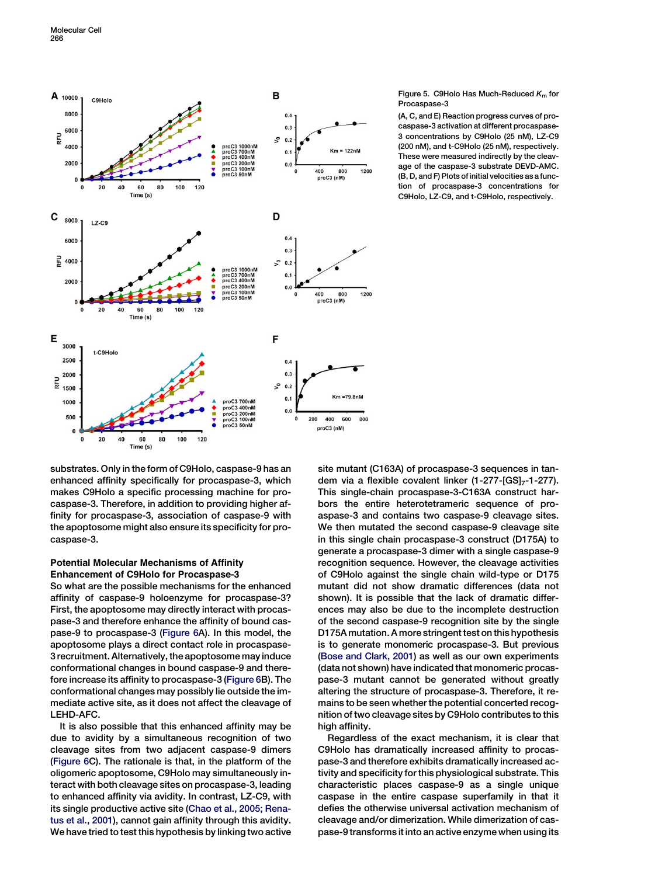<span id="page-7-0"></span>

Figure 5. C9Holo Has Much-Reduced  $K<sub>m</sub>$  for Procaspase-3

(A, C, and E) Reaction progress curves of procaspase-3 activation at different procaspase-3 concentrations by C9Holo (25 nM), LZ-C9 (200 nM), and t-C9Holo (25 nM), respectively. These were measured indirectly by the cleavage of the caspase-3 substrate DEVD-AMC. (B, D, and F) Plots of initial velocities as a function of procaspase-3 concentrations for C9Holo, LZ-C9, and t-C9Holo, respectively.

substrates. Only in the form of C9Holo, caspase-9 has an enhanced affinity specifically for procaspase-3, which makes C9Holo a specific processing machine for procaspase-3. Therefore, in addition to providing higher affinity for procaspase-3, association of caspase-9 with the apoptosome might also ensure its specificity for procaspase-3.

## Potential Molecular Mechanisms of Affinity Enhancement of C9Holo for Procaspase-3

So what are the possible mechanisms for the enhanced affinity of caspase-9 holoenzyme for procaspase-3? First, the apoptosome may directly interact with procaspase-3 and therefore enhance the affinity of bound caspase-9 to procaspase-3 [\(Figure 6](#page-8-0)A). In this model, the apoptosome plays a direct contact role in procaspase-3 recruitment. Alternatively, the apoptosome may induce conformational changes in bound caspase-9 and therefore increase its affinity to procaspase-3 [\(Figure 6](#page-8-0)B). The conformational changes may possibly lie outside the immediate active site, as it does not affect the cleavage of LEHD-AFC.

It is also possible that this enhanced affinity may be due to avidity by a simultaneous recognition of two cleavage sites from two adjacent caspase-9 dimers [\(Figure 6](#page-8-0)C). The rationale is that, in the platform of the oligomeric apoptosome, C9Holo may simultaneously interact with both cleavage sites on procaspase-3, leading to enhanced affinity via avidity. In contrast, LZ-C9, with its single productive active site [\(Chao et al., 2005; Rena](#page-9-0)[tus et al., 2001\)](#page-9-0), cannot gain affinity through this avidity. We have tried to test this hypothesis by linking two active

site mutant (C163A) of procaspase-3 sequences in tandem via a flexible covalent linker  $(1-277-[GS]_7-1-277)$ . This single-chain procaspase-3-C163A construct harbors the entire heterotetrameric sequence of proaspase-3 and contains two caspase-9 cleavage sites. We then mutated the second caspase-9 cleavage site in this single chain procaspase-3 construct (D175A) to generate a procaspase-3 dimer with a single caspase-9 recognition sequence. However, the cleavage activities of C9Holo against the single chain wild-type or D175 mutant did not show dramatic differences (data not shown). It is possible that the lack of dramatic differences may also be due to the incomplete destruction of the second caspase-9 recognition site by the single D175A mutation. A more stringent test on this hypothesis is to generate monomeric procaspase-3. But previous [\(Bose and Clark, 2001\)](#page-9-0) as well as our own experiments (data not shown) have indicated that monomeric procaspase-3 mutant cannot be generated without greatly altering the structure of procaspase-3. Therefore, it remains to be seen whether the potential concerted recognition of two cleavage sites by C9Holo contributes to this high affinity.

Regardless of the exact mechanism, it is clear that C9Holo has dramatically increased affinity to procaspase-3 and therefore exhibits dramatically increased activity and specificity for this physiological substrate. This characteristic places caspase-9 as a single unique caspase in the entire caspase superfamily in that it defies the otherwise universal activation mechanism of cleavage and/or dimerization. While dimerization of caspase-9 transforms it into an active enzyme when using its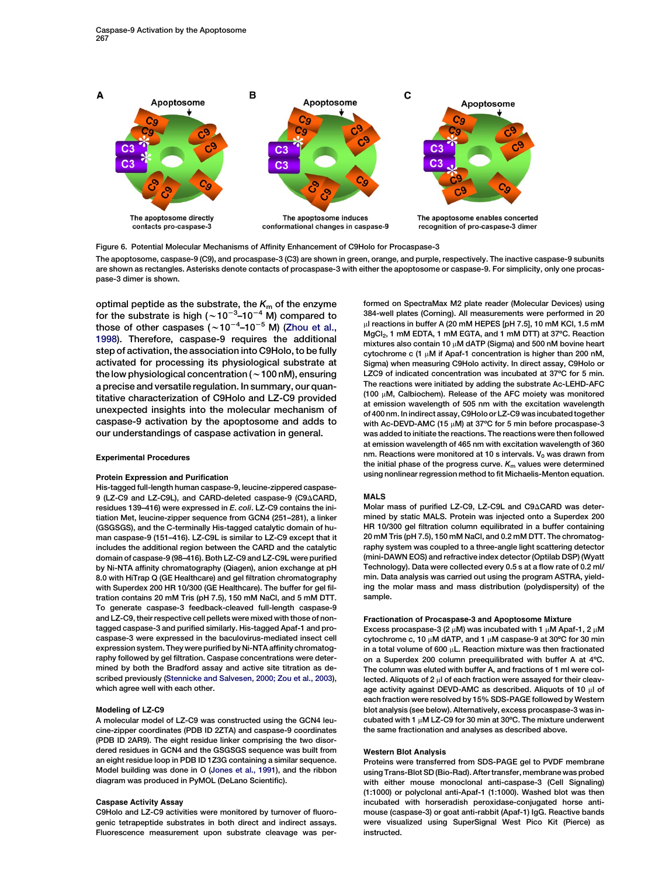<span id="page-8-0"></span>

Figure 6. Potential Molecular Mechanisms of Affinity Enhancement of C9Holo for Procaspase-3 The apoptosome, caspase-9 (C9), and procaspase-3 (C3) are shown in green, orange, and purple, respectively. The inactive caspase-9 subunits are shown as rectangles. Asterisks denote contacts of procaspase-3 with either the apoptosome or caspase-9. For simplicity, only one procaspase-3 dimer is shown.

optimal peptide as the substrate, the  $K<sub>m</sub>$  of the enzyme for the substrate is high ( $\sim$ 10<sup>-3</sup>-10<sup>-4</sup> M) compared to those of other caspases  $({\sim}10^{-4}$ –10<sup>-5</sup> M) [\(Zhou et al.,](#page-9-0) [1998](#page-9-0)). Therefore, caspase-9 requires the additional step of activation, the association into C9Holo, to be fully activated for processing its physiological substrate at the low physiological concentration ( $\sim$  100 nM), ensuring a precise and versatile regulation. In summary, our quantitative characterization of C9Holo and LZ-C9 provided unexpected insights into the molecular mechanism of caspase-9 activation by the apoptosome and adds to our understandings of caspase activation in general.

#### Experimental Procedures

#### Protein Expression and Purification

His-tagged full-length human caspase-9, leucine-zippered caspase-9 (LZ-C9 and LZ-C9L), and CARD-deleted caspase-9 (C9ACARD, residues 139–416) were expressed in E. coli. LZ-C9 contains the initiation Met, leucine-zipper sequence from GCN4 (251–281), a linker (GSGSGS), and the C-terminally His-tagged catalytic domain of human caspase-9 (151–416). LZ-C9L is similar to LZ-C9 except that it includes the additional region between the CARD and the catalytic domain of caspase-9 (98–416). Both LZ-C9 and LZ-C9L were purified by Ni-NTA affinity chromatography (Qiagen), anion exchange at pH 8.0 with HiTrap Q (GE Healthcare) and gel filtration chromatography with Superdex 200 HR 10/300 (GE Healthcare). The buffer for gel filtration contains 20 mM Tris (pH 7.5), 150 mM NaCl, and 5 mM DTT. To generate caspase-3 feedback-cleaved full-length caspase-9 and LZ-C9, their respective cell pellets were mixed with those of nontagged caspase-3 and purified similarly. His-tagged Apaf-1 and procaspase-3 were expressed in the baculovirus-mediated insect cell expression system. They were purified by Ni-NTA affinity chromatography followed by gel filtration. Caspase concentrations were determined by both the Bradford assay and active site titration as described previously [\(Stennicke and Salvesen, 2000; Zou et al., 2003\)](#page-9-0), which agree well with each other.

#### Modeling of LZ-C9

A molecular model of LZ-C9 was constructed using the GCN4 leucine-zipper coordinates (PDB ID 2ZTA) and caspase-9 coordinates (PDB ID 2AR9). The eight residue linker comprising the two disordered residues in GCN4 and the GSGSGS sequence was built from an eight residue loop in PDB ID 1Z3G containing a similar sequence. Model building was done in O ([Jones et al., 1991](#page-9-0)), and the ribbon diagram was produced in PyMOL (DeLano Scientific).

#### Caspase Activity Assay

C9Holo and LZ-C9 activities were monitored by turnover of fluorogenic tetrapeptide substrates in both direct and indirect assays. Fluorescence measurement upon substrate cleavage was per-

formed on SpectraMax M2 plate reader (Molecular Devices) using 384-well plates (Corning). All measurements were performed in 20 µl reactions in buffer A (20 mM HEPES [pH 7.5], 10 mM KCl, 1.5 mM MgCl<sub>2</sub>, 1 mM EDTA, 1 mM EGTA, and 1 mM DTT) at 37°C. Reaction mixtures also contain 10  $\mu$ M dATP (Sigma) and 500 nM bovine heart cytochrome c (1  $\mu$ M if Apaf-1 concentration is higher than 200 nM, Sigma) when measuring C9Holo activity. In direct assay, C9Holo or LZC9 of indicated concentration was incubated at 37ºC for 5 min. The reactions were initiated by adding the substrate Ac-LEHD-AFC (100  $\mu$ M, Calbiochem). Release of the AFC moiety was monitored at emission wavelength of 505 nm with the excitation wavelength of 400 nm. In indirect assay, C9Holo or LZ-C9 was incubated together with Ac-DEVD-AMC (15  $\mu$ M) at 37°C for 5 min before procaspase-3 was added to initiate the reactions. The reactions were then followed at emission wavelength of 465 nm with excitation wavelength of 360 nm. Reactions were monitored at 10 s intervals.  $V_0$  was drawn from the initial phase of the progress curve.  $K<sub>m</sub>$  values were determined using nonlinear regression method to fit Michaelis-Menton equation.

#### MALS

Molar mass of purified LZ-C9, LZ-C9L and C9ACARD was determined by static MALS. Protein was injected onto a Superdex 200 HR 10/300 gel filtration column equilibrated in a buffer containing 20 mM Tris (pH 7.5), 150 mM NaCl, and 0.2 mM DTT. The chromatography system was coupled to a three-angle light scattering detector (mini-DAWN EOS) and refractive index detector (Optilab DSP) (Wyatt Technology). Data were collected every 0.5 s at a flow rate of 0.2 ml/ min. Data analysis was carried out using the program ASTRA, yielding the molar mass and mass distribution (polydispersity) of the sample.

#### Fractionation of Procaspase-3 and Apoptosome Mixture

Excess procaspase-3 (2  $\mu$ M) was incubated with 1  $\mu$ M Apaf-1, 2  $\mu$ M cytochrome c, 10  $\mu$ M dATP, and 1  $\mu$ M caspase-9 at 30°C for 30 min in a total volume of 600 uL. Reaction mixture was then fractionated on a Superdex 200 column preequilibrated with buffer A at 4ºC. The column was eluted with buffer A, and fractions of 1 ml were collected. Aliquots of 2 ul of each fraction were assayed for their cleavage activity against DEVD-AMC as described. Aliquots of 10 µl of each fraction were resolved by 15% SDS-PAGE followed by Western blot analysis (see below). Alternatively, excess procaspase-3 was incubated with 1  $\mu$ M LZ-C9 for 30 min at 30°C. The mixture underwent the same fractionation and analyses as described above.

#### Western Blot Analysis

Proteins were transferred from SDS-PAGE gel to PVDF membrane using Trans-Blot SD (Bio-Rad). After transfer, membrane was probed with either mouse monoclonal anti-caspase-3 (Cell Signaling) (1:1000) or polyclonal anti-Apaf-1 (1:1000). Washed blot was then incubated with horseradish peroxidase-conjugated horse antimouse (caspase-3) or goat anti-rabbit (Apaf-1) IgG. Reactive bands were visualized using SuperSignal West Pico Kit (Pierce) as instructed.